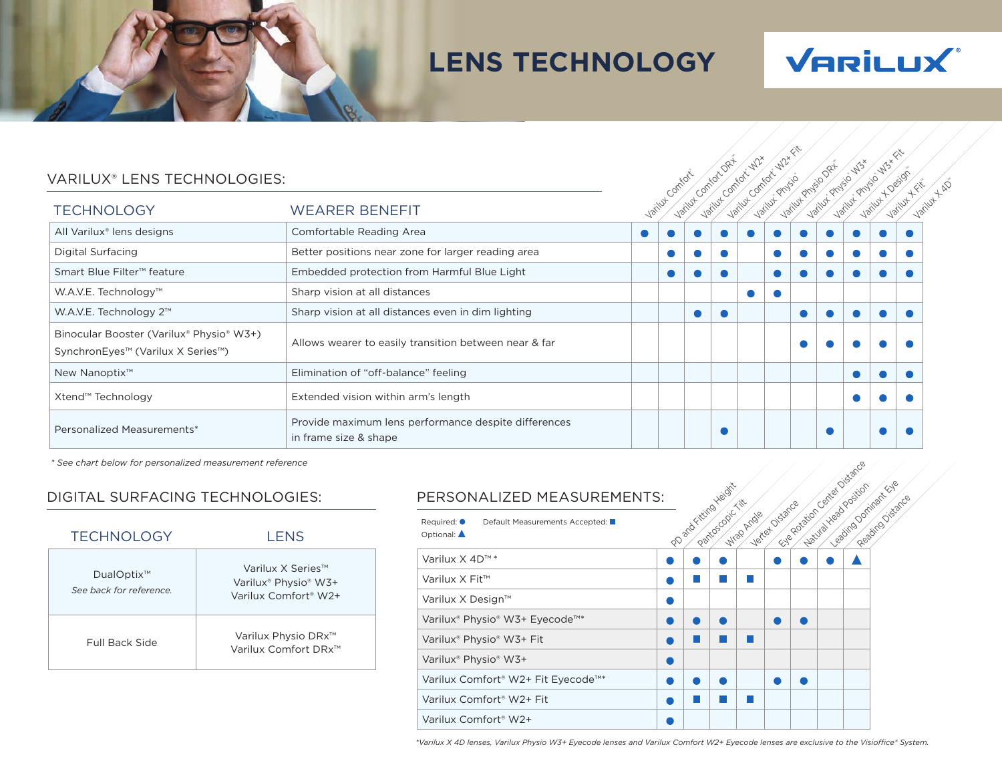# **LENS TECHNOLOGY**



| VARILUX <sup>®</sup> LENS TECHNOLOGIES:                                       |                                                                               |  |                 |        | $O^{Q^+}$ | $-\sqrt{2}$ |                 |                 |        | - 113 x |          | ◇                       |
|-------------------------------------------------------------------------------|-------------------------------------------------------------------------------|--|-----------------|--------|-----------|-------------|-----------------|-----------------|--------|---------|----------|-------------------------|
| <b>TECHNOLOGY</b>                                                             | <b>WEARER BENEFIT</b>                                                         |  | Variust Comfort | Jailut | Varilut   | Varillyt    | Variust Projsio | Variut Physio V | Jailut | Varilut | Varilust | Variut + AD<br>Varilly+ |
| All Varilux <sup>®</sup> lens designs                                         | Comfortable Reading Area                                                      |  |                 |        |           |             |                 |                 |        |         |          |                         |
| Digital Surfacing                                                             | Better positions near zone for larger reading area                            |  |                 |        |           |             |                 |                 |        |         |          |                         |
| Smart Blue Filter <sup>™</sup> feature                                        | Embedded protection from Harmful Blue Light                                   |  |                 |        |           |             |                 |                 |        |         |          |                         |
| W.A.V.E. Technology™                                                          | Sharp vision at all distances                                                 |  |                 |        |           |             |                 |                 |        |         |          |                         |
| W.A.V.E. Technology 2™                                                        | Sharp vision at all distances even in dim lighting                            |  |                 |        |           |             |                 |                 |        |         |          |                         |
| Binocular Booster (Varilux® Physio® W3+)<br>SynchronEyes™ (Varilux X Series™) | Allows wearer to easily transition between near & far                         |  |                 |        |           |             |                 |                 |        |         |          |                         |
| New Nanoptix <sup>™</sup>                                                     | Elimination of "off-balance" feeling                                          |  |                 |        |           |             |                 |                 |        |         |          |                         |
| Xtend™ Technology                                                             | Extended vision within arm's length                                           |  |                 |        |           |             |                 |                 |        |         |          |                         |
| Personalized Measurements*                                                    | Provide maximum lens performance despite differences<br>in frame size & shape |  |                 |        |           |             |                 |                 |        |         |          |                         |

*\* See chart below for personalized measurement reference*

# DIGITAL SURFACING TECHNOLOGIES: PERSONALIZED MEASUREMENTS:

| <b>TECHNOLOGY</b>                    | LENS                                                                                                  |
|--------------------------------------|-------------------------------------------------------------------------------------------------------|
| DualOptix™<br>See back for reference | Varilux X Series™<br>Varilux <sup>®</sup> Physio <sup>®</sup> W3+<br>Varilux Comfort <sup>®</sup> W2+ |
| <b>Full Back Side</b>                | Varilux Physio DRx <sup>™</sup><br>Varilux Comfort DRx™                                               |

| PERSONALIZED MEASUREMENTS:                                                     |                       |                  |            |                 |                                                       |                                          |
|--------------------------------------------------------------------------------|-----------------------|------------------|------------|-----------------|-------------------------------------------------------|------------------------------------------|
| Default Measurements Accepted:<br>Required: <sup>•</sup><br>Optional: <b>▲</b> | po and ritting veight | Pantoscopic Titl | Wrap Argle | Vertex Distance | Fall Rockier Oxider Oistance<br>Natural Nead Position | ceating Dominaticale<br>Regained Jstance |
| Varilux X 4D™*                                                                 |                       |                  |            |                 |                                                       |                                          |
| Varilux X Fit <sup>™</sup>                                                     |                       |                  |            |                 |                                                       |                                          |
| Varilux X Design™                                                              |                       |                  |            |                 |                                                       |                                          |
| Varilux® Physio® W3+ Eyecode™*                                                 |                       |                  |            |                 |                                                       |                                          |
| Varilux® Physio® W3+ Fit                                                       |                       |                  |            |                 |                                                       |                                          |
| Varilux® Physio® W3+                                                           |                       |                  |            |                 |                                                       |                                          |
| Varilux Comfort® W2+ Fit Eyecode™*                                             |                       |                  |            |                 |                                                       |                                          |
| Varilux Comfort <sup>®</sup> W2+ Fit                                           |                       |                  |            |                 |                                                       |                                          |
| Varilux Comfort <sup>®</sup> W2+                                               |                       |                  |            |                 |                                                       |                                          |

*\*Varilux X 4D lenses, Varilux Physio W3+ Eyecode lenses and Varilux Comfort W2+ Eyecode lenses are exclusive to the Visioffice® System.*